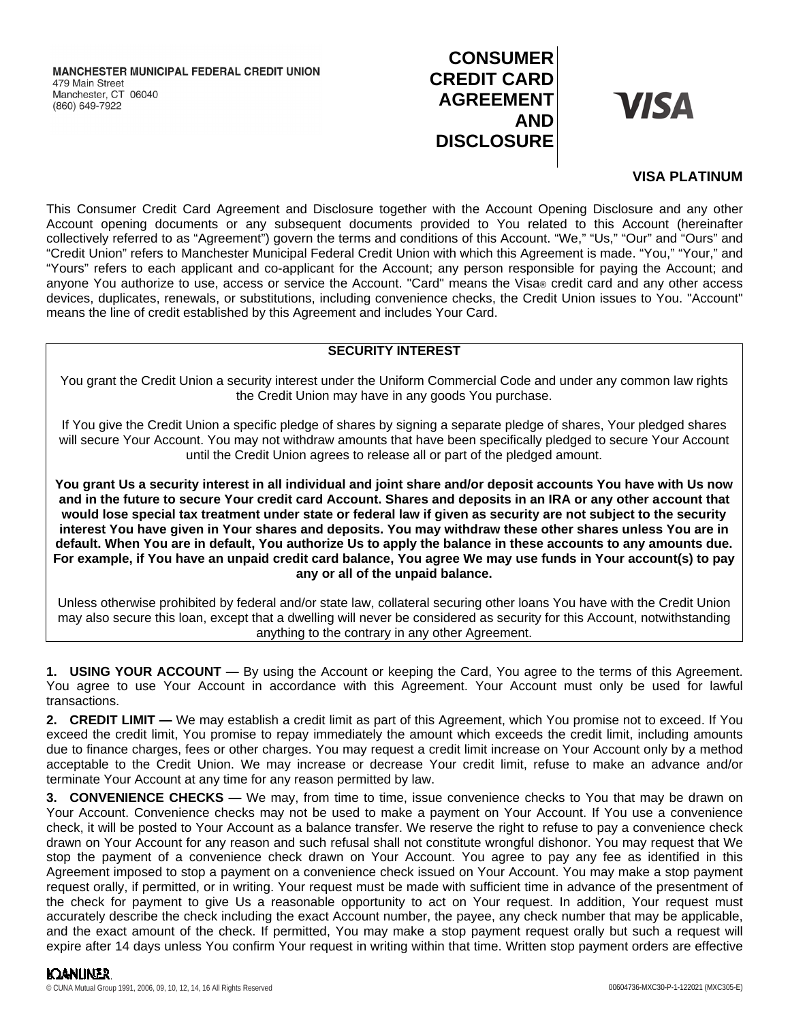# **CONSUMER CREDIT CARD AGREEMENT AND DISCLOSURE**

**VISA** 

## **VISA PLATINUM**

This Consumer Credit Card Agreement and Disclosure together with the Account Opening Disclosure and any other Account opening documents or any subsequent documents provided to You related to this Account (hereinafter collectively referred to as "Agreement") govern the terms and conditions of this Account. "We," "Us," "Our" and "Ours" and "Credit Union" refers to Manchester Municipal Federal Credit Union with which this Agreement is made. "You," "Your," and "Yours" refers to each applicant and co-applicant for the Account; any person responsible for paying the Account; and anyone You authorize to use, access or service the Account. "Card" means the Visa® credit card and any other access devices, duplicates, renewals, or substitutions, including convenience checks, the Credit Union issues to You. "Account" means the line of credit established by this Agreement and includes Your Card.

## **SECURITY INTEREST**

You grant the Credit Union a security interest under the Uniform Commercial Code and under any common law rights the Credit Union may have in any goods You purchase.

If You give the Credit Union a specific pledge of shares by signing a separate pledge of shares, Your pledged shares will secure Your Account. You may not withdraw amounts that have been specifically pledged to secure Your Account until the Credit Union agrees to release all or part of the pledged amount.

**You grant Us a security interest in all individual and joint share and/or deposit accounts You have with Us now and in the future to secure Your credit card Account. Shares and deposits in an IRA or any other account that would lose special tax treatment under state or federal law if given as security are not subject to the security interest You have given in Your shares and deposits. You may withdraw these other shares unless You are in default. When You are in default, You authorize Us to apply the balance in these accounts to any amounts due. For example, if You have an unpaid credit card balance, You agree We may use funds in Your account(s) to pay any or all of the unpaid balance.**

Unless otherwise prohibited by federal and/or state law, collateral securing other loans You have with the Credit Union may also secure this loan, except that a dwelling will never be considered as security for this Account, notwithstanding anything to the contrary in any other Agreement.

**1. USING YOUR ACCOUNT —** By using the Account or keeping the Card, You agree to the terms of this Agreement. You agree to use Your Account in accordance with this Agreement. Your Account must only be used for lawful transactions.

**2. CREDIT LIMIT —** We may establish a credit limit as part of this Agreement, which You promise not to exceed. If You exceed the credit limit, You promise to repay immediately the amount which exceeds the credit limit, including amounts due to finance charges, fees or other charges. You may request a credit limit increase on Your Account only by a method acceptable to the Credit Union. We may increase or decrease Your credit limit, refuse to make an advance and/or terminate Your Account at any time for any reason permitted by law.

**3. CONVENIENCE CHECKS —** We may, from time to time, issue convenience checks to You that may be drawn on Your Account. Convenience checks may not be used to make a payment on Your Account. If You use a convenience check, it will be posted to Your Account as a balance transfer. We reserve the right to refuse to pay a convenience check drawn on Your Account for any reason and such refusal shall not constitute wrongful dishonor. You may request that We stop the payment of a convenience check drawn on Your Account. You agree to pay any fee as identified in this Agreement imposed to stop a payment on a convenience check issued on Your Account. You may make a stop payment request orally, if permitted, or in writing. Your request must be made with sufficient time in advance of the presentment of the check for payment to give Us a reasonable opportunity to act on Your request. In addition, Your request must accurately describe the check including the exact Account number, the payee, any check number that may be applicable, and the exact amount of the check. If permitted, You may make a stop payment request orally but such a request will expire after 14 days unless You confirm Your request in writing within that time. Written stop payment orders are effective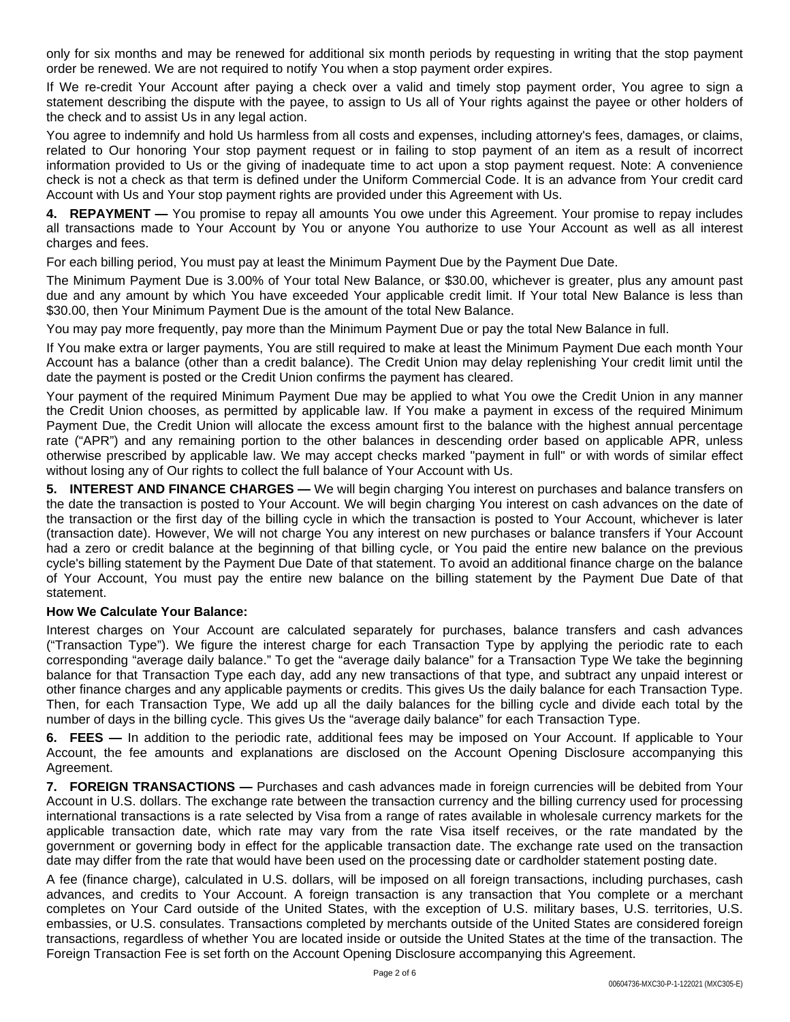only for six months and may be renewed for additional six month periods by requesting in writing that the stop payment order be renewed. We are not required to notify You when a stop payment order expires.

If We re-credit Your Account after paying a check over a valid and timely stop payment order, You agree to sign a statement describing the dispute with the payee, to assign to Us all of Your rights against the payee or other holders of the check and to assist Us in any legal action.

You agree to indemnify and hold Us harmless from all costs and expenses, including attorney's fees, damages, or claims, related to Our honoring Your stop payment request or in failing to stop payment of an item as a result of incorrect information provided to Us or the giving of inadequate time to act upon a stop payment request. Note: A convenience check is not a check as that term is defined under the Uniform Commercial Code. It is an advance from Your credit card Account with Us and Your stop payment rights are provided under this Agreement with Us.

**4. REPAYMENT —** You promise to repay all amounts You owe under this Agreement. Your promise to repay includes all transactions made to Your Account by You or anyone You authorize to use Your Account as well as all interest charges and fees.

For each billing period, You must pay at least the Minimum Payment Due by the Payment Due Date.

The Minimum Payment Due is 3.00% of Your total New Balance, or \$30.00, whichever is greater, plus any amount past due and any amount by which You have exceeded Your applicable credit limit. If Your total New Balance is less than \$30.00, then Your Minimum Payment Due is the amount of the total New Balance.

You may pay more frequently, pay more than the Minimum Payment Due or pay the total New Balance in full.

If You make extra or larger payments, You are still required to make at least the Minimum Payment Due each month Your Account has a balance (other than a credit balance). The Credit Union may delay replenishing Your credit limit until the date the payment is posted or the Credit Union confirms the payment has cleared.

Your payment of the required Minimum Payment Due may be applied to what You owe the Credit Union in any manner the Credit Union chooses, as permitted by applicable law. If You make a payment in excess of the required Minimum Payment Due, the Credit Union will allocate the excess amount first to the balance with the highest annual percentage rate ("APR") and any remaining portion to the other balances in descending order based on applicable APR, unless otherwise prescribed by applicable law. We may accept checks marked "payment in full" or with words of similar effect without losing any of Our rights to collect the full balance of Your Account with Us.

**5. INTEREST AND FINANCE CHARGES —** We will begin charging You interest on purchases and balance transfers on the date the transaction is posted to Your Account. We will begin charging You interest on cash advances on the date of the transaction or the first day of the billing cycle in which the transaction is posted to Your Account, whichever is later (transaction date). However, We will not charge You any interest on new purchases or balance transfers if Your Account had a zero or credit balance at the beginning of that billing cycle, or You paid the entire new balance on the previous cycle's billing statement by the Payment Due Date of that statement. To avoid an additional finance charge on the balance of Your Account, You must pay the entire new balance on the billing statement by the Payment Due Date of that statement.

### **How We Calculate Your Balance:**

Interest charges on Your Account are calculated separately for purchases, balance transfers and cash advances ("Transaction Type"). We figure the interest charge for each Transaction Type by applying the periodic rate to each corresponding "average daily balance." To get the "average daily balance" for a Transaction Type We take the beginning balance for that Transaction Type each day, add any new transactions of that type, and subtract any unpaid interest or other finance charges and any applicable payments or credits. This gives Us the daily balance for each Transaction Type. Then, for each Transaction Type, We add up all the daily balances for the billing cycle and divide each total by the number of days in the billing cycle. This gives Us the "average daily balance" for each Transaction Type.

**6. FEES —** In addition to the periodic rate, additional fees may be imposed on Your Account. If applicable to Your Account, the fee amounts and explanations are disclosed on the Account Opening Disclosure accompanying this Agreement.

**7. FOREIGN TRANSACTIONS —** Purchases and cash advances made in foreign currencies will be debited from Your Account in U.S. dollars. The exchange rate between the transaction currency and the billing currency used for processing international transactions is a rate selected by Visa from a range of rates available in wholesale currency markets for the applicable transaction date, which rate may vary from the rate Visa itself receives, or the rate mandated by the government or governing body in effect for the applicable transaction date. The exchange rate used on the transaction date may differ from the rate that would have been used on the processing date or cardholder statement posting date.

A fee (finance charge), calculated in U.S. dollars, will be imposed on all foreign transactions, including purchases, cash advances, and credits to Your Account. A foreign transaction is any transaction that You complete or a merchant completes on Your Card outside of the United States, with the exception of U.S. military bases, U.S. territories, U.S. embassies, or U.S. consulates. Transactions completed by merchants outside of the United States are considered foreign transactions, regardless of whether You are located inside or outside the United States at the time of the transaction. The Foreign Transaction Fee is set forth on the Account Opening Disclosure accompanying this Agreement.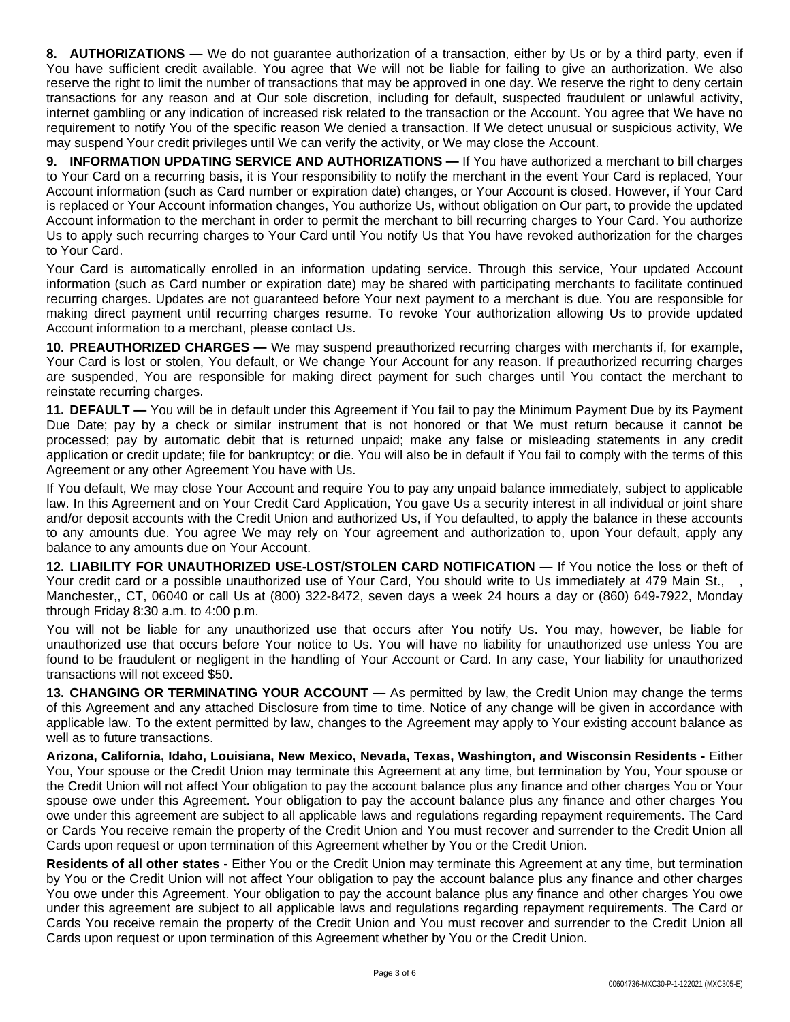**8. AUTHORIZATIONS —** We do not guarantee authorization of a transaction, either by Us or by a third party, even if You have sufficient credit available. You agree that We will not be liable for failing to give an authorization. We also reserve the right to limit the number of transactions that may be approved in one day. We reserve the right to deny certain transactions for any reason and at Our sole discretion, including for default, suspected fraudulent or unlawful activity, internet gambling or any indication of increased risk related to the transaction or the Account. You agree that We have no requirement to notify You of the specific reason We denied a transaction. If We detect unusual or suspicious activity, We may suspend Your credit privileges until We can verify the activity, or We may close the Account.

**9. INFORMATION UPDATING SERVICE AND AUTHORIZATIONS —** If You have authorized a merchant to bill charges to Your Card on a recurring basis, it is Your responsibility to notify the merchant in the event Your Card is replaced, Your Account information (such as Card number or expiration date) changes, or Your Account is closed. However, if Your Card is replaced or Your Account information changes, You authorize Us, without obligation on Our part, to provide the updated Account information to the merchant in order to permit the merchant to bill recurring charges to Your Card. You authorize Us to apply such recurring charges to Your Card until You notify Us that You have revoked authorization for the charges to Your Card.

Your Card is automatically enrolled in an information updating service. Through this service, Your updated Account information (such as Card number or expiration date) may be shared with participating merchants to facilitate continued recurring charges. Updates are not guaranteed before Your next payment to a merchant is due. You are responsible for making direct payment until recurring charges resume. To revoke Your authorization allowing Us to provide updated Account information to a merchant, please contact Us.

**10. PREAUTHORIZED CHARGES —** We may suspend preauthorized recurring charges with merchants if, for example, Your Card is lost or stolen, You default, or We change Your Account for any reason. If preauthorized recurring charges are suspended, You are responsible for making direct payment for such charges until You contact the merchant to reinstate recurring charges.

**11. DEFAULT —** You will be in default under this Agreement if You fail to pay the Minimum Payment Due by its Payment Due Date; pay by a check or similar instrument that is not honored or that We must return because it cannot be processed; pay by automatic debit that is returned unpaid; make any false or misleading statements in any credit application or credit update; file for bankruptcy; or die. You will also be in default if You fail to comply with the terms of this Agreement or any other Agreement You have with Us.

If You default, We may close Your Account and require You to pay any unpaid balance immediately, subject to applicable law. In this Agreement and on Your Credit Card Application, You gave Us a security interest in all individual or joint share and/or deposit accounts with the Credit Union and authorized Us, if You defaulted, to apply the balance in these accounts to any amounts due. You agree We may rely on Your agreement and authorization to, upon Your default, apply any balance to any amounts due on Your Account.

**12. LIABILITY FOR UNAUTHORIZED USE-LOST/STOLEN CARD NOTIFICATION —** If You notice the loss or theft of Your credit card or a possible unauthorized use of Your Card, You should write to Us immediately at 479 Main St., , Manchester,, CT, 06040 or call Us at (800) 322-8472, seven days a week 24 hours a day or (860) 649-7922, Monday through Friday 8:30 a.m. to 4:00 p.m.

You will not be liable for any unauthorized use that occurs after You notify Us. You may, however, be liable for unauthorized use that occurs before Your notice to Us. You will have no liability for unauthorized use unless You are found to be fraudulent or negligent in the handling of Your Account or Card. In any case, Your liability for unauthorized transactions will not exceed \$50.

**13. CHANGING OR TERMINATING YOUR ACCOUNT —** As permitted by law, the Credit Union may change the terms of this Agreement and any attached Disclosure from time to time. Notice of any change will be given in accordance with applicable law. To the extent permitted by law, changes to the Agreement may apply to Your existing account balance as well as to future transactions.

**Arizona, California, Idaho, Louisiana, New Mexico, Nevada, Texas, Washington, and Wisconsin Residents -** Either You, Your spouse or the Credit Union may terminate this Agreement at any time, but termination by You, Your spouse or the Credit Union will not affect Your obligation to pay the account balance plus any finance and other charges You or Your spouse owe under this Agreement. Your obligation to pay the account balance plus any finance and other charges You owe under this agreement are subject to all applicable laws and regulations regarding repayment requirements. The Card or Cards You receive remain the property of the Credit Union and You must recover and surrender to the Credit Union all Cards upon request or upon termination of this Agreement whether by You or the Credit Union.

**Residents of all other states -** Either You or the Credit Union may terminate this Agreement at any time, but termination by You or the Credit Union will not affect Your obligation to pay the account balance plus any finance and other charges You owe under this Agreement. Your obligation to pay the account balance plus any finance and other charges You owe under this agreement are subject to all applicable laws and regulations regarding repayment requirements. The Card or Cards You receive remain the property of the Credit Union and You must recover and surrender to the Credit Union all Cards upon request or upon termination of this Agreement whether by You or the Credit Union.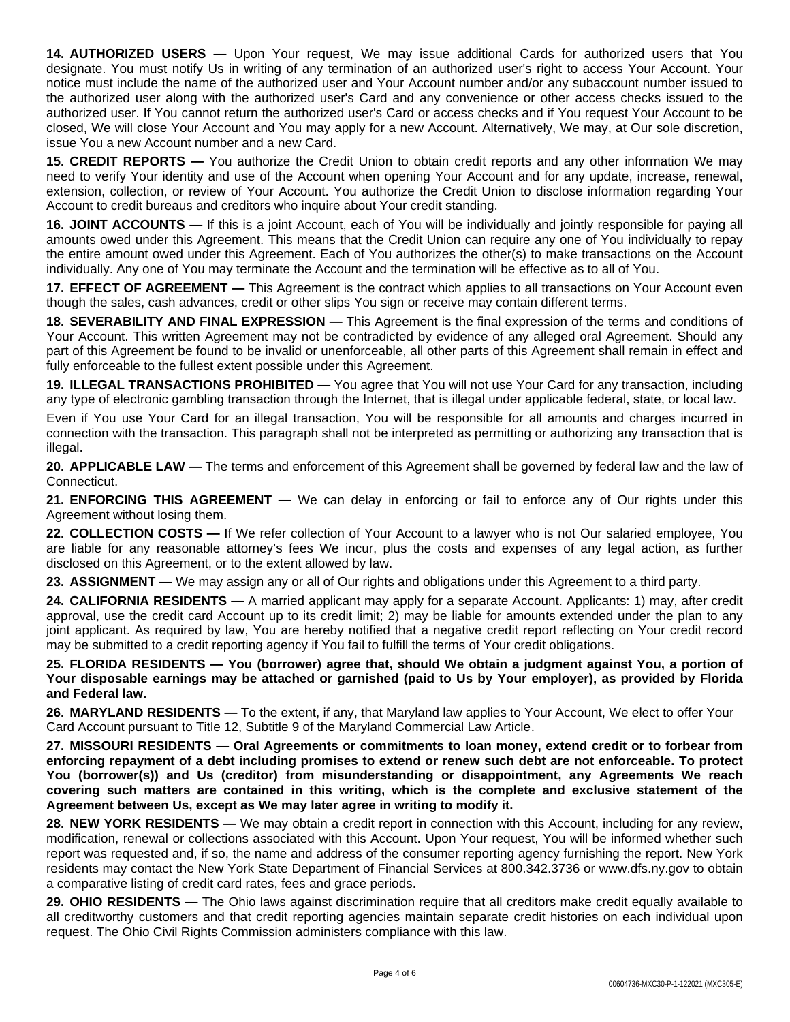**14. AUTHORIZED USERS —** Upon Your request, We may issue additional Cards for authorized users that You designate. You must notify Us in writing of any termination of an authorized user's right to access Your Account. Your notice must include the name of the authorized user and Your Account number and/or any subaccount number issued to the authorized user along with the authorized user's Card and any convenience or other access checks issued to the authorized user. If You cannot return the authorized user's Card or access checks and if You request Your Account to be closed, We will close Your Account and You may apply for a new Account. Alternatively, We may, at Our sole discretion, issue You a new Account number and a new Card.

**15. CREDIT REPORTS —** You authorize the Credit Union to obtain credit reports and any other information We may need to verify Your identity and use of the Account when opening Your Account and for any update, increase, renewal, extension, collection, or review of Your Account. You authorize the Credit Union to disclose information regarding Your Account to credit bureaus and creditors who inquire about Your credit standing.

**16. JOINT ACCOUNTS —** If this is a joint Account, each of You will be individually and jointly responsible for paying all amounts owed under this Agreement. This means that the Credit Union can require any one of You individually to repay the entire amount owed under this Agreement. Each of You authorizes the other(s) to make transactions on the Account individually. Any one of You may terminate the Account and the termination will be effective as to all of You.

**17. EFFECT OF AGREEMENT —** This Agreement is the contract which applies to all transactions on Your Account even though the sales, cash advances, credit or other slips You sign or receive may contain different terms.

**18. SEVERABILITY AND FINAL EXPRESSION —** This Agreement is the final expression of the terms and conditions of Your Account. This written Agreement may not be contradicted by evidence of any alleged oral Agreement. Should any part of this Agreement be found to be invalid or unenforceable, all other parts of this Agreement shall remain in effect and fully enforceable to the fullest extent possible under this Agreement.

**19. ILLEGAL TRANSACTIONS PROHIBITED —** You agree that You will not use Your Card for any transaction, including any type of electronic gambling transaction through the Internet, that is illegal under applicable federal, state, or local law.

Even if You use Your Card for an illegal transaction, You will be responsible for all amounts and charges incurred in connection with the transaction. This paragraph shall not be interpreted as permitting or authorizing any transaction that is illegal.

**20. APPLICABLE LAW —** The terms and enforcement of this Agreement shall be governed by federal law and the law of Connecticut.

**21. ENFORCING THIS AGREEMENT —** We can delay in enforcing or fail to enforce any of Our rights under this Agreement without losing them.

**22. COLLECTION COSTS —** If We refer collection of Your Account to a lawyer who is not Our salaried employee, You are liable for any reasonable attorney's fees We incur, plus the costs and expenses of any legal action, as further disclosed on this Agreement, or to the extent allowed by law.

**23. ASSIGNMENT —** We may assign any or all of Our rights and obligations under this Agreement to a third party.

**24. CALIFORNIA RESIDENTS —** A married applicant may apply for a separate Account. Applicants: 1) may, after credit approval, use the credit card Account up to its credit limit; 2) may be liable for amounts extended under the plan to any joint applicant. As required by law, You are hereby notified that a negative credit report reflecting on Your credit record may be submitted to a credit reporting agency if You fail to fulfill the terms of Your credit obligations.

**25. FLORIDA RESIDENTS — You (borrower) agree that, should We obtain a judgment against You, a portion of Your disposable earnings may be attached or garnished (paid to Us by Your employer), as provided by Florida and Federal law.**

**26. MARYLAND RESIDENTS —** To the extent, if any, that Maryland law applies to Your Account, We elect to offer Your Card Account pursuant to Title 12, Subtitle 9 of the Maryland Commercial Law Article.

**27. MISSOURI RESIDENTS — Oral Agreements or commitments to loan money, extend credit or to forbear from enforcing repayment of a debt including promises to extend or renew such debt are not enforceable. To protect You (borrower(s)) and Us (creditor) from misunderstanding or disappointment, any Agreements We reach covering such matters are contained in this writing, which is the complete and exclusive statement of the Agreement between Us, except as We may later agree in writing to modify it.**

**28. NEW YORK RESIDENTS —** We may obtain a credit report in connection with this Account, including for any review, modification, renewal or collections associated with this Account. Upon Your request, You will be informed whether such report was requested and, if so, the name and address of the consumer reporting agency furnishing the report. New York residents may contact the New York State Department of Financial Services at 800.342.3736 or www.dfs.ny.gov to obtain a comparative listing of credit card rates, fees and grace periods.

29. OHIO RESIDENTS — The Ohio laws against discrimination require that all creditors make credit equally available to all creditworthy customers and that credit reporting agencies maintain separate credit histories on each individual upon request. The Ohio Civil Rights Commission administers compliance with this law.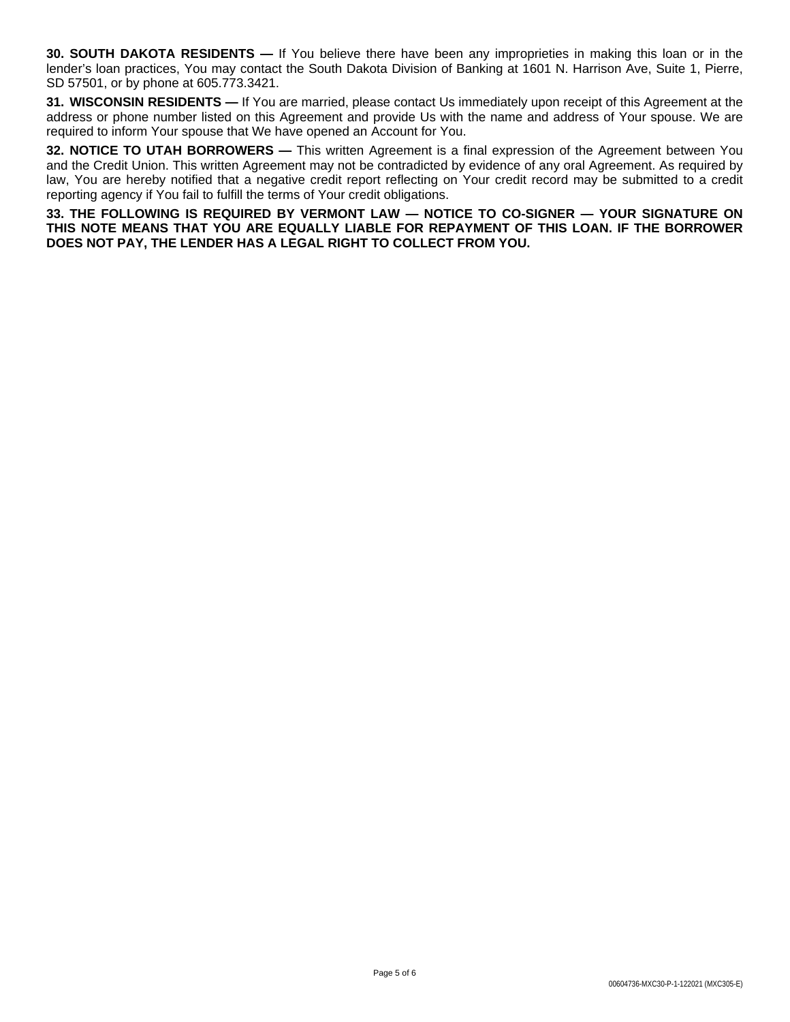**30. SOUTH DAKOTA RESIDENTS —** If You believe there have been any improprieties in making this loan or in the lender's loan practices, You may contact the South Dakota Division of Banking at 1601 N. Harrison Ave, Suite 1, Pierre, SD 57501, or by phone at 605.773.3421.

**31. WISCONSIN RESIDENTS —** If You are married, please contact Us immediately upon receipt of this Agreement at the address or phone number listed on this Agreement and provide Us with the name and address of Your spouse. We are required to inform Your spouse that We have opened an Account for You.

**32. NOTICE TO UTAH BORROWERS —** This written Agreement is a final expression of the Agreement between You and the Credit Union. This written Agreement may not be contradicted by evidence of any oral Agreement. As required by law, You are hereby notified that a negative credit report reflecting on Your credit record may be submitted to a credit reporting agency if You fail to fulfill the terms of Your credit obligations.

**33. THE FOLLOWING IS REQUIRED BY VERMONT LAW — NOTICE TO CO-SIGNER — YOUR SIGNATURE ON THIS NOTE MEANS THAT YOU ARE EQUALLY LIABLE FOR REPAYMENT OF THIS LOAN. IF THE BORROWER DOES NOT PAY, THE LENDER HAS A LEGAL RIGHT TO COLLECT FROM YOU.**